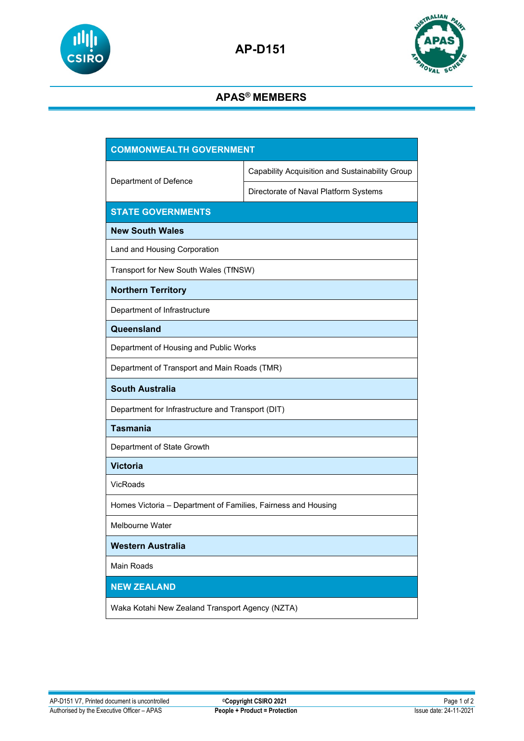



## **APAS® MEMBERS**

| <b>COMMONWEALTH GOVERNMENT</b>                                |                                                 |  |
|---------------------------------------------------------------|-------------------------------------------------|--|
| Department of Defence                                         | Capability Acquisition and Sustainability Group |  |
|                                                               | Directorate of Naval Platform Systems           |  |
| <b>STATE GOVERNMENTS</b>                                      |                                                 |  |
| <b>New South Wales</b>                                        |                                                 |  |
| Land and Housing Corporation                                  |                                                 |  |
| Transport for New South Wales (TfNSW)                         |                                                 |  |
| <b>Northern Territory</b>                                     |                                                 |  |
| Department of Infrastructure                                  |                                                 |  |
| Queensland                                                    |                                                 |  |
| Department of Housing and Public Works                        |                                                 |  |
| Department of Transport and Main Roads (TMR)                  |                                                 |  |
| <b>South Australia</b>                                        |                                                 |  |
| Department for Infrastructure and Transport (DIT)             |                                                 |  |
| <b>Tasmania</b>                                               |                                                 |  |
| Department of State Growth                                    |                                                 |  |
| <b>Victoria</b>                                               |                                                 |  |
| <b>VicRoads</b>                                               |                                                 |  |
| Homes Victoria - Department of Families, Fairness and Housing |                                                 |  |
| <b>Melbourne Water</b>                                        |                                                 |  |
| <b>Western Australia</b>                                      |                                                 |  |
| <b>Main Roads</b>                                             |                                                 |  |
| <b>NEW ZEALAND</b>                                            |                                                 |  |
| Waka Kotahi New Zealand Transport Agency (NZTA)               |                                                 |  |